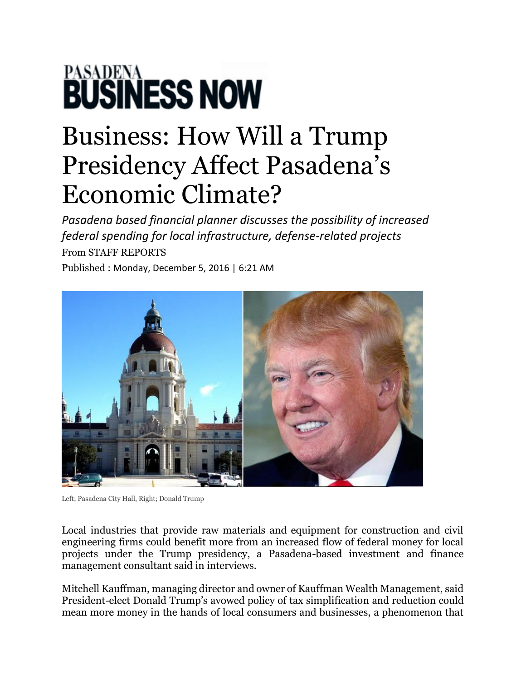## **PASADENA**<br>**BUSINESS NOW**

## Business: How Will a Trump Presidency Affect Pasadena's Economic Climate?

*Pasadena based financial planner discusses the possibility of increased federal spending for local infrastructure, defense-related projects* From STAFF REPORTS

Published : Monday, December 5, 2016 | 6:21 AM



Left; Pasadena City Hall, Right; Donald Trump

Local industries that provide raw materials and equipment for construction and civil engineering firms could benefit more from an increased flow of federal money for local projects under the Trump presidency, a Pasadena-based investment and finance management consultant said in interviews.

Mitchell Kauffman, managing director and owner of Kauffman Wealth Management, said President-elect Donald Trump's avowed policy of tax simplification and reduction could mean more money in the hands of local consumers and businesses, a phenomenon that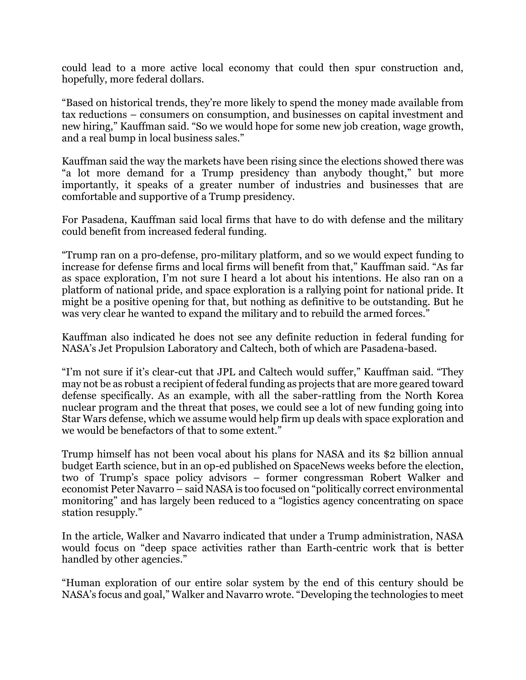could lead to a more active local economy that could then spur construction and, hopefully, more federal dollars.

"Based on historical trends, they're more likely to spend the money made available from tax reductions – consumers on consumption, and businesses on capital investment and new hiring," Kauffman said. "So we would hope for some new job creation, wage growth, and a real bump in local business sales."

Kauffman said the way the markets have been rising since the elections showed there was "a lot more demand for a Trump presidency than anybody thought," but more importantly, it speaks of a greater number of industries and businesses that are comfortable and supportive of a Trump presidency.

For Pasadena, Kauffman said local firms that have to do with defense and the military could benefit from increased federal funding.

"Trump ran on a pro-defense, pro-military platform, and so we would expect funding to increase for defense firms and local firms will benefit from that," Kauffman said. "As far as space exploration, I'm not sure I heard a lot about his intentions. He also ran on a platform of national pride, and space exploration is a rallying point for national pride. It might be a positive opening for that, but nothing as definitive to be outstanding. But he was very clear he wanted to expand the military and to rebuild the armed forces."

Kauffman also indicated he does not see any definite reduction in federal funding for NASA's Jet Propulsion Laboratory and Caltech, both of which are Pasadena-based.

"I'm not sure if it's clear-cut that JPL and Caltech would suffer," Kauffman said. "They may not be as robust a recipient of federal funding as projects that are more geared toward defense specifically. As an example, with all the saber-rattling from the North Korea nuclear program and the threat that poses, we could see a lot of new funding going into Star Wars defense, which we assume would help firm up deals with space exploration and we would be benefactors of that to some extent."

Trump himself has not been vocal about his plans for NASA and its \$2 billion annual budget Earth science, but in an op-ed published on SpaceNews weeks before the election, two of Trump's space policy advisors – former congressman Robert Walker and economist Peter Navarro – said NASA is too focused on "politically correct environmental monitoring" and has largely been reduced to a "logistics agency concentrating on space station resupply."

In the article, Walker and Navarro indicated that under a Trump administration, NASA would focus on "deep space activities rather than Earth-centric work that is better handled by other agencies."

"Human exploration of our entire solar system by the end of this century should be NASA's focus and goal," Walker and Navarro wrote. "Developing the technologies to meet